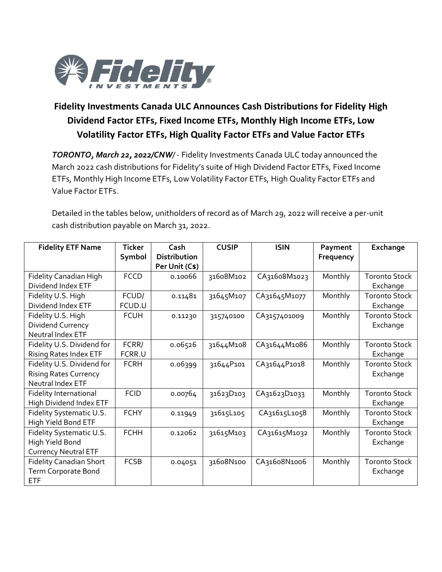

## **Fidelity Investments Canada ULC Announces Cash Distributions for Fidelity High Dividend Factor ETFs, Fixed Income ETFs, Monthly High Income ETFs, Low Volatility Factor ETFs, High Quality Factor ETFs and Value Factor ETFs**

*TORONTO, March 22, 2022/CNW/* - Fidelity Investments Canada ULC today announced the March 2022 cash distributions for Fidelity's suite of High Dividend Factor ETFs, Fixed Income ETFs, Monthly High Income ETFs, Low Volatility Factor ETFs, High Quality Factor ETFs and Value Factor ETFs.

Detailed in the tables below, unitholders of record as of March 29, 2022 will receive a per-unit cash distribution payable on March 31, 2022.

| <b>Fidelity ETF Name</b>       | <b>Ticker</b> | Cash                | <b>CUSIP</b> | <b>ISIN</b>  | Payment   | Exchange             |
|--------------------------------|---------------|---------------------|--------------|--------------|-----------|----------------------|
|                                | Symbol        | <b>Distribution</b> |              |              | Frequency |                      |
|                                |               | Per Unit (C\$)      |              |              |           |                      |
| <b>Fidelity Canadian High</b>  | <b>FCCD</b>   | 0.10066             | 31608M102    | CA31608M1023 | Monthly   | <b>Toronto Stock</b> |
| Dividend Index ETF             |               |                     |              |              |           | Exchange             |
| Fidelity U.S. High             | FCUD/         | 0.11481             | 31645M107    | CA31645M1077 | Monthly   | <b>Toronto Stock</b> |
| Dividend Index ETF             | FCUD.U        |                     |              |              |           | Exchange             |
| Fidelity U.S. High             | <b>FCUH</b>   | 0.11230             | 315740100    | CA3157401009 | Monthly   | <b>Toronto Stock</b> |
| Dividend Currency              |               |                     |              |              |           | Exchange             |
| Neutral Index ETF              |               |                     |              |              |           |                      |
| Fidelity U.S. Dividend for     | FCRR/         | 0.06526             | 31644M108    | CA31644M1086 | Monthly   | <b>Toronto Stock</b> |
| <b>Rising Rates Index ETF</b>  | FCRR.U        |                     |              |              |           | Exchange             |
| Fidelity U.S. Dividend for     | <b>FCRH</b>   | 0.06399             | 31644P101    | CA31644P1018 | Monthly   | <b>Toronto Stock</b> |
| <b>Rising Rates Currency</b>   |               |                     |              |              |           | Exchange             |
| Neutral Index ETF              |               |                     |              |              |           |                      |
| Fidelity International         | <b>FCID</b>   | 0.00764             | 31623D103    | CA31623D1033 | Monthly   | <b>Toronto Stock</b> |
| High Dividend Index ETF        |               |                     |              |              |           | Exchange             |
| Fidelity Systematic U.S.       | <b>FCHY</b>   | 0.11949             | 31615L105    | CA31615L1058 | Monthly   | <b>Toronto Stock</b> |
| High Yield Bond ETF            |               |                     |              |              |           | Exchange             |
| Fidelity Systematic U.S.       | <b>FCHH</b>   | 0.12062             | 31615M103    | CA31615M1032 | Monthly   | <b>Toronto Stock</b> |
| High Yield Bond                |               |                     |              |              |           | Exchange             |
| <b>Currency Neutral ETF</b>    |               |                     |              |              |           |                      |
| <b>Fidelity Canadian Short</b> | <b>FCSB</b>   | 0.04051             | 31608N100    | CA31608N1006 | Monthly   | <b>Toronto Stock</b> |
| Term Corporate Bond            |               |                     |              |              |           | Exchange             |
| ETF                            |               |                     |              |              |           |                      |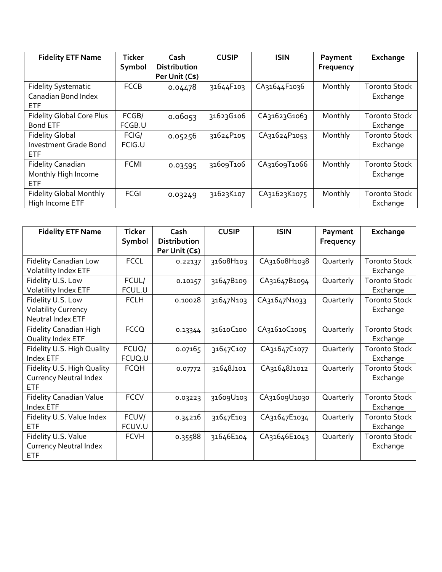| <b>Fidelity ETF Name</b>         | <b>Ticker</b> | Cash                | <b>CUSIP</b> | <b>ISIN</b>  | Payment   | Exchange             |
|----------------------------------|---------------|---------------------|--------------|--------------|-----------|----------------------|
|                                  | Symbol        | <b>Distribution</b> |              |              | Frequency |                      |
|                                  |               | Per Unit (C\$)      |              |              |           |                      |
| <b>Fidelity Systematic</b>       | <b>FCCB</b>   | 0.04478             | 31644F103    | CA31644F1036 | Monthly   | <b>Toronto Stock</b> |
| Canadian Bond Index              |               |                     |              |              |           | Exchange             |
| ETF.                             |               |                     |              |              |           |                      |
| <b>Fidelity Global Core Plus</b> | FCGB/         | 0.06053             | 31623G106    | CA31623G1063 | Monthly   | <b>Toronto Stock</b> |
| <b>Bond ETF</b>                  | FCGB.U        |                     |              |              |           | Exchange             |
| <b>Fidelity Global</b>           | FCIG/         | 0.05256             | 31624P105    | CA31624P1053 | Monthly   | <b>Toronto Stock</b> |
| <b>Investment Grade Bond</b>     | FCIG.U        |                     |              |              |           | Exchange             |
| <b>ETF</b>                       |               |                     |              |              |           |                      |
| <b>Fidelity Canadian</b>         | <b>FCMI</b>   | 0.03595             | 31609T106    | CA31609T1066 | Monthly   | <b>Toronto Stock</b> |
| Monthly High Income              |               |                     |              |              |           | Exchange             |
| <b>ETF</b>                       |               |                     |              |              |           |                      |
| <b>Fidelity Global Monthly</b>   | <b>FCGI</b>   | 0.03249             | 31623K107    | CA31623K1075 | Monthly   | <b>Toronto Stock</b> |
| High Income ETF                  |               |                     |              |              |           | Exchange             |

| <b>Fidelity ETF Name</b>                                                  | <b>Ticker</b><br>Symbol | Cash<br><b>Distribution</b><br>Per Unit (C\$) | <b>CUSIP</b> | <b>ISIN</b>  | Payment<br>Frequency | Exchange                         |
|---------------------------------------------------------------------------|-------------------------|-----------------------------------------------|--------------|--------------|----------------------|----------------------------------|
| <b>Fidelity Canadian Low</b><br><b>Volatility Index ETF</b>               | <b>FCCL</b>             | 0.22137                                       | 31608H103    | CA31608H1038 | Quarterly            | <b>Toronto Stock</b><br>Exchange |
| Fidelity U.S. Low<br>Volatility Index ETF                                 | FCUL/<br>FCUL.U         | 0.10157                                       | 31647B109    | CA31647B1094 | Quarterly            | <b>Toronto Stock</b><br>Exchange |
| Fidelity U.S. Low<br><b>Volatility Currency</b><br>Neutral Index ETF      | <b>FCLH</b>             | 0.10028                                       | 31647N103    | CA31647N1033 | Quarterly            | <b>Toronto Stock</b><br>Exchange |
| <b>Fidelity Canadian High</b><br>Quality Index ETF                        | <b>FCCQ</b>             | 0.13344                                       | 31610C100    | CA31610C1005 | Quarterly            | <b>Toronto Stock</b><br>Exchange |
| Fidelity U.S. High Quality<br>Index ETF                                   | FCUQ/<br>FCUQ.U         | 0.07165                                       | 31647C107    | CA31647C1077 | Quarterly            | <b>Toronto Stock</b><br>Exchange |
| Fidelity U.S. High Quality<br><b>Currency Neutral Index</b><br><b>ETF</b> | <b>FCQH</b>             | 0.07772                                       | 31648J101    | CA31648J1012 | Quarterly            | <b>Toronto Stock</b><br>Exchange |
| <b>Fidelity Canadian Value</b><br>Index ETF                               | <b>FCCV</b>             | 0.03223                                       | 31609U103    | CA31609U1030 | Quarterly            | <b>Toronto Stock</b><br>Exchange |
| Fidelity U.S. Value Index<br><b>ETF</b>                                   | FCUV/<br>FCUV.U         | 0.34216                                       | 31647E103    | CA31647E1034 | Quarterly            | <b>Toronto Stock</b><br>Exchange |
| Fidelity U.S. Value<br><b>Currency Neutral Index</b><br><b>ETF</b>        | <b>FCVH</b>             | 0.35588                                       | 31646E104    | CA31646E1043 | Quarterly            | <b>Toronto Stock</b><br>Exchange |